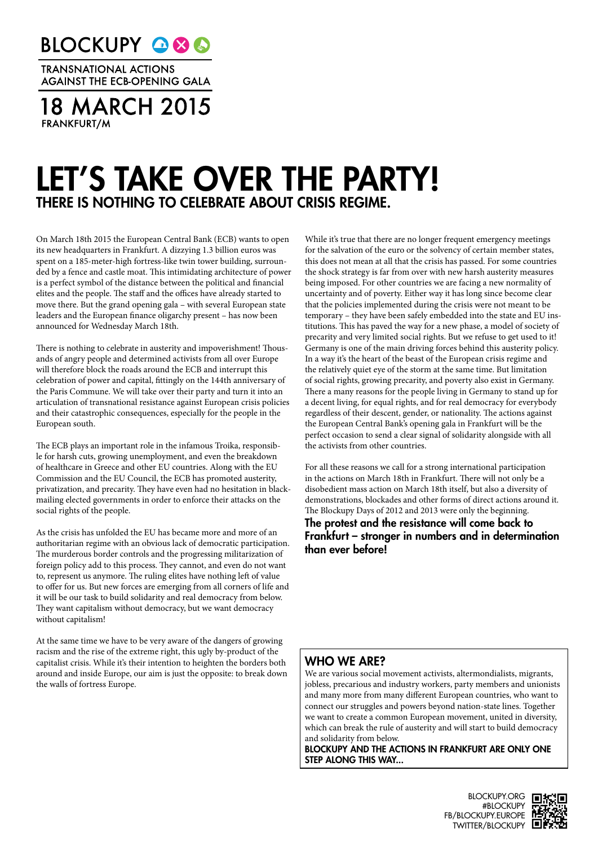**BLOCKUPY Q&C** 

**TRANSNATIONAL ACTIONS AGAINST THE ECB-OPENING GALA** 

**18 MARCH 2015 FRANKFURT/M** 

## LET'S TAKE OVER THE PARTY! THERE IS NOTHING TO CELEBRATE ABOUT CRISIS REGIME.

On March 18th 2015 the European Central Bank (ECB) wants to open its new headquarters in Frankfurt. A dizzying 1.3 billion euros was spent on a 185-meter-high fortress-like twin tower building, surrounded by a fence and castle moat. This intimidating architecture of power is a perfect symbol of the distance between the political and financial elites and the people. The staff and the offices have already started to move there. But the grand opening gala – with several European state leaders and the European finance oligarchy present – has now been announced for Wednesday March 18th.

There is nothing to celebrate in austerity and impoverishment! Thousands of angry people and determined activists from all over Europe will therefore block the roads around the ECB and interrupt this celebration of power and capital, fittingly on the 144th anniversary of the Paris Commune. We will take over their party and turn it into an articulation of transnational resistance against European crisis policies and their catastrophic consequences, especially for the people in the European south.

The ECB plays an important role in the infamous Troika, responsible for harsh cuts, growing unemployment, and even the breakdown of healthcare in Greece and other EU countries. Along with the EU Commission and the EU Council, the ECB has promoted austerity, privatization, and precarity. They have even had no hesitation in blackmailing elected governments in order to enforce their attacks on the social rights of the people.

As the crisis has unfolded the EU has became more and more of an authoritarian regime with an obvious lack of democratic participation. The murderous border controls and the progressing militarization of foreign policy add to this process. They cannot, and even do not want to, represent us anymore. The ruling elites have nothing left of value to offer for us. But new forces are emerging from all corners of life and it will be our task to build solidarity and real democracy from below. They want capitalism without democracy, but we want democracy without capitalism!

At the same time we have to be very aware of the dangers of growing racism and the rise of the extreme right, this ugly by-product of the capitalist crisis. While it's their intention to heighten the borders both around and inside Europe, our aim is just the opposite: to break down the walls of fortress Europe.

While it's true that there are no longer frequent emergency meetings for the salvation of the euro or the solvency of certain member states, this does not mean at all that the crisis has passed. For some countries the shock strategy is far from over with new harsh austerity measures being imposed. For other countries we are facing a new normality of uncertainty and of poverty. Either way it has long since become clear that the policies implemented during the crisis were not meant to be temporary – they have been safely embedded into the state and EU institutions. This has paved the way for a new phase, a model of society of precarity and very limited social rights. But we refuse to get used to it! Germany is one of the main driving forces behind this austerity policy. In a way it's the heart of the beast of the European crisis regime and the relatively quiet eye of the storm at the same time. But limitation of social rights, growing precarity, and poverty also exist in Germany. There a many reasons for the people living in Germany to stand up for a decent living, for equal rights, and for real democracy for everybody regardless of their descent, gender, or nationality. The actions against the European Central Bank's opening gala in Frankfurt will be the perfect occasion to send a clear signal of solidarity alongside with all the activists from other countries.

For all these reasons we call for a strong international participation in the actions on March 18th in Frankfurt. There will not only be a disobedient mass action on March 18th itself, but also a diversity of demonstrations, blockades and other forms of direct actions around it. The Blockupy Days of 2012 and 2013 were only the beginning.

The protest and the resistance will come back to Frankfurt – stronger in numbers and in determination than ever before!

## WHO WE ARE?

We are various social movement activists, altermondialists, migrants, jobless, precarious and industry workers, party members and unionists and many more from many different European countries, who want to connect our struggles and powers beyond nation-state lines. Together we want to create a common European movement, united in diversity, which can break the rule of austerity and will start to build democracy and solidarity from below.

BLOCKUPY AND THE ACTIONS IN FRANKFURT ARE ONLY ONE STEP ALONG THIS WAY...

> BLOCKUPY.ORG #BLOCKUPY FB/BLOCKUPY.EUROPE TWITTER/BLOCKUPY **D**